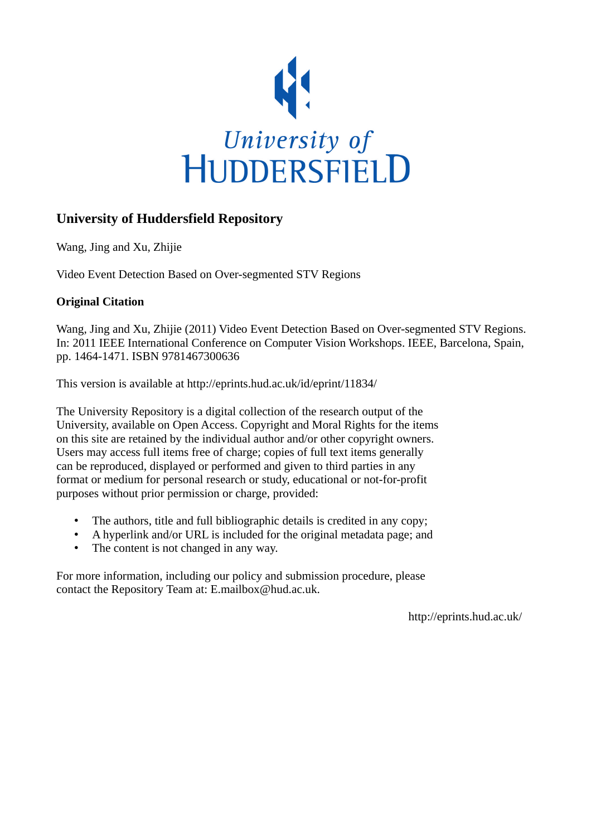

# **University of Huddersfield Repository**

Wang, Jing and Xu, Zhijie

Video Event Detection Based on Over-segmented STV Regions

## **Original Citation**

Wang, Jing and Xu, Zhijie (2011) Video Event Detection Based on Over-segmented STV Regions. In: 2011 IEEE International Conference on Computer Vision Workshops. IEEE, Barcelona, Spain, pp. 1464-1471. ISBN 9781467300636

This version is available at http://eprints.hud.ac.uk/id/eprint/11834/

The University Repository is a digital collection of the research output of the University, available on Open Access. Copyright and Moral Rights for the items on this site are retained by the individual author and/or other copyright owners. Users may access full items free of charge; copies of full text items generally can be reproduced, displayed or performed and given to third parties in any format or medium for personal research or study, educational or not-for-profit purposes without prior permission or charge, provided:

- The authors, title and full bibliographic details is credited in any copy;
- A hyperlink and/or URL is included for the original metadata page; and
- The content is not changed in any way.

For more information, including our policy and submission procedure, please contact the Repository Team at: E.mailbox@hud.ac.uk.

http://eprints.hud.ac.uk/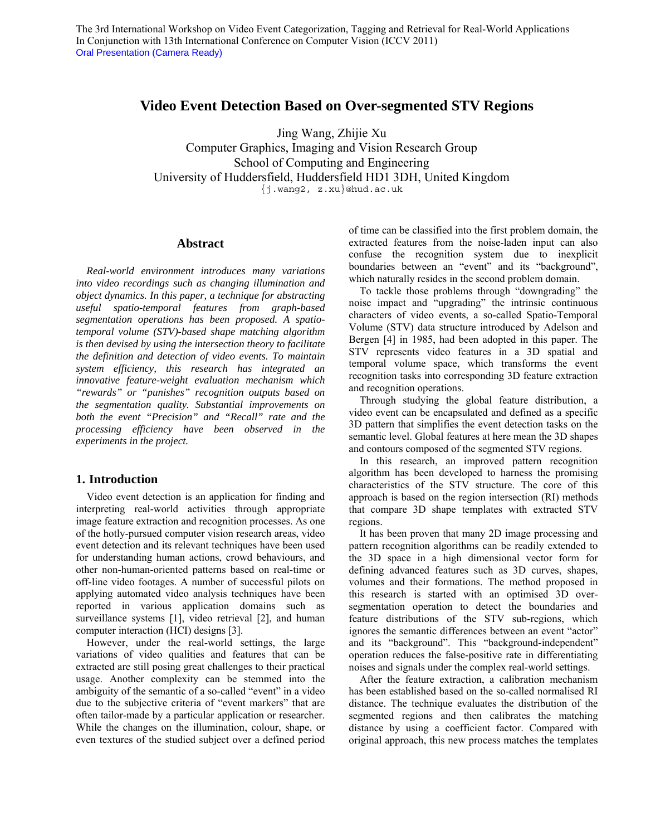## **Video Event Detection Based on Over-segmented STV Regions**

Jing Wang, Zhijie Xu Computer Graphics, Imaging and Vision Research Group School of Computing and Engineering University of Huddersfield, Huddersfield HD1 3DH, United Kingdom {j.wang2, z.xu}@hud.ac.uk

## **Abstract**

*Real-world environment introduces many variations into video recordings such as changing illumination and object dynamics. In this paper, a technique for abstracting useful spatio-temporal features from graph-based segmentation operations has been proposed. A spatiotemporal volume (STV)-based shape matching algorithm is then devised by using the intersection theory to facilitate the definition and detection of video events. To maintain system efficiency, this research has integrated an innovative feature-weight evaluation mechanism which "rewards" or "punishes" recognition outputs based on the segmentation quality. Substantial improvements on both the event "Precision" and "Recall" rate and the processing efficiency have been observed in the experiments in the project.* 

## **1. Introduction**

Video event detection is an application for finding and interpreting real-world activities through appropriate image feature extraction and recognition processes. As one of the hotly-pursued computer vision research areas, video event detection and its relevant techniques have been used for understanding human actions, crowd behaviours, and other non-human-oriented patterns based on real-time or off-line video footages. A number of successful pilots on applying automated video analysis techniques have been reported in various application domains such as surveillance systems [1], video retrieval [2], and human computer interaction (HCI) designs [3].

However, under the real-world settings, the large variations of video qualities and features that can be extracted are still posing great challenges to their practical usage. Another complexity can be stemmed into the ambiguity of the semantic of a so-called "event" in a video due to the subjective criteria of "event markers" that are often tailor-made by a particular application or researcher. While the changes on the illumination, colour, shape, or even textures of the studied subject over a defined period

of time can be classified into the first problem domain, the extracted features from the noise-laden input can also confuse the recognition system due to inexplicit boundaries between an "event" and its "background", which naturally resides in the second problem domain.

To tackle those problems through "downgrading" the noise impact and "upgrading" the intrinsic continuous characters of video events, a so-called Spatio-Temporal Volume (STV) data structure introduced by Adelson and Bergen [4] in 1985, had been adopted in this paper. The STV represents video features in a 3D spatial and temporal volume space, which transforms the event recognition tasks into corresponding 3D feature extraction and recognition operations.

Through studying the global feature distribution, a video event can be encapsulated and defined as a specific 3D pattern that simplifies the event detection tasks on the semantic level. Global features at here mean the 3D shapes and contours composed of the segmented STV regions.

In this research, an improved pattern recognition algorithm has been developed to harness the promising characteristics of the STV structure. The core of this approach is based on the region intersection (RI) methods that compare 3D shape templates with extracted STV regions.

It has been proven that many 2D image processing and pattern recognition algorithms can be readily extended to the 3D space in a high dimensional vector form for defining advanced features such as 3D curves, shapes, volumes and their formations. The method proposed in this research is started with an optimised 3D oversegmentation operation to detect the boundaries and feature distributions of the STV sub-regions, which ignores the semantic differences between an event "actor" and its "background". This "background-independent" operation reduces the false-positive rate in differentiating noises and signals under the complex real-world settings.

After the feature extraction, a calibration mechanism has been established based on the so-called normalised RI distance. The technique evaluates the distribution of the segmented regions and then calibrates the matching distance by using a coefficient factor. Compared with original approach, this new process matches the templates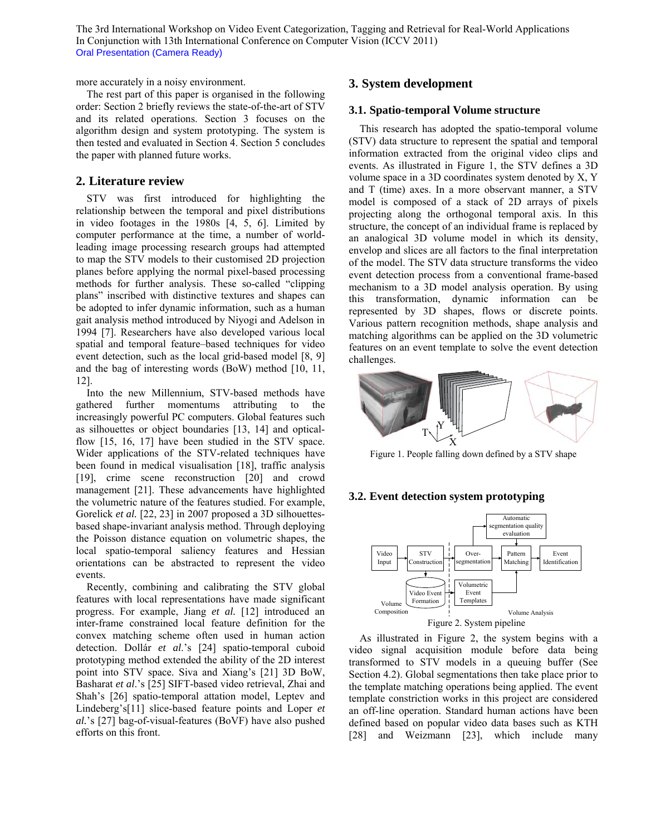more accurately in a noisy environment.

The rest part of this paper is organised in the following order: Section 2 briefly reviews the state-of-the-art of STV and its related operations. Section 3 focuses on the algorithm design and system prototyping. The system is then tested and evaluated in Section 4. Section 5 concludes the paper with planned future works.

#### **2. Literature review**

STV was first introduced for highlighting the relationship between the temporal and pixel distributions in video footages in the 1980s [4, 5, 6]. Limited by computer performance at the time, a number of worldleading image processing research groups had attempted to map the STV models to their customised 2D projection planes before applying the normal pixel-based processing methods for further analysis. These so-called "clipping plans" inscribed with distinctive textures and shapes can be adopted to infer dynamic information, such as a human gait analysis method introduced by Niyogi and Adelson in 1994 [7]. Researchers have also developed various local spatial and temporal feature–based techniques for video event detection, such as the local grid-based model [8, 9] and the bag of interesting words (BoW) method [10, 11, 12].

Into the new Millennium, STV-based methods have gathered further momentums attributing to the increasingly powerful PC computers. Global features such as silhouettes or object boundaries [13, 14] and opticalflow [15, 16, 17] have been studied in the STV space. Wider applications of the STV-related techniques have been found in medical visualisation [18], traffic analysis [19], crime scene reconstruction [20] and crowd management [21]. These advancements have highlighted the volumetric nature of the features studied. For example, Gorelick *et al.* [22, 23] in 2007 proposed a 3D silhouettesbased shape-invariant analysis method. Through deploying the Poisson distance equation on volumetric shapes, the local spatio-temporal saliency features and Hessian orientations can be abstracted to represent the video events.

Recently, combining and calibrating the STV global features with local representations have made significant progress. For example, Jiang *et al.* [12] introduced an inter-frame constrained local feature definition for the convex matching scheme often used in human action detection. Dollár *et al*.'s [24] spatio-temporal cuboid prototyping method extended the ability of the 2D interest point into STV space. Siva and Xiang's [21] 3D BoW, Basharat *et al*.'s [25] SIFT-based video retrieval, Zhai and Shah's [26] spatio-temporal attation model, Leptev and Lindeberg's[11] slice-based feature points and Loper *et al.*'s [27] bag-of-visual-features (BoVF) have also pushed efforts on this front.

### **3. System development**

#### **3.1. Spatio-temporal Volume structure**

This research has adopted the spatio-temporal volume (STV) data structure to represent the spatial and temporal information extracted from the original video clips and events. As illustrated in Figure 1, the STV defines a 3D volume space in a 3D coordinates system denoted by X, Y and T (time) axes. In a more observant manner, a STV model is composed of a stack of 2D arrays of pixels projecting along the orthogonal temporal axis. In this structure, the concept of an individual frame is replaced by an analogical 3D volume model in which its density, envelop and slices are all factors to the final interpretation of the model. The STV data structure transforms the video event detection process from a conventional frame-based mechanism to a 3D model analysis operation. By using this transformation, dynamic information can be represented by 3D shapes, flows or discrete points. Various pattern recognition methods, shape analysis and matching algorithms can be applied on the 3D volumetric features on an event template to solve the event detection challenges.



Figure 1. People falling down defined by a STV shape

## **3.2. Event detection system prototyping**



As illustrated in Figure 2, the system begins with a video signal acquisition module before data being transformed to STV models in a queuing buffer (See Section 4.2). Global segmentations then take place prior to the template matching operations being applied. The event template constriction works in this project are considered an off-line operation. Standard human actions have been defined based on popular video data bases such as KTH [28] and Weizmann [23], which include many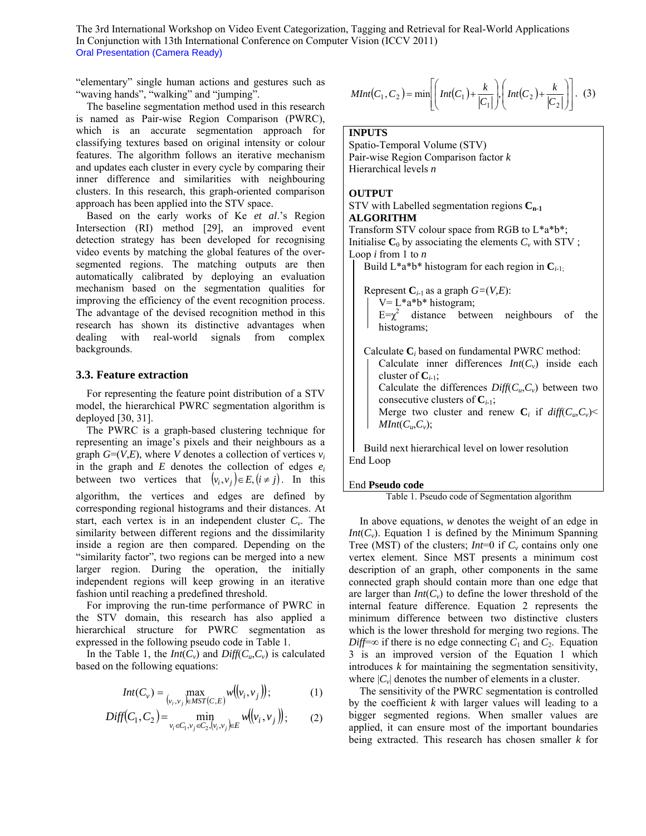"elementary" single human actions and gestures such as "waving hands", "walking" and "jumping".

The baseline segmentation method used in this research is named as Pair-wise Region Comparison (PWRC), which is an accurate segmentation approach for classifying textures based on original intensity or colour features. The algorithm follows an iterative mechanism and updates each cluster in every cycle by comparing their inner difference and similarities with neighbouring clusters. In this research, this graph-oriented comparison approach has been applied into the STV space.

Based on the early works of Ke *et al*.'s Region Intersection (RI) method [29], an improved event detection strategy has been developed for recognising video events by matching the global features of the oversegmented regions. The matching outputs are then automatically calibrated by deploying an evaluation mechanism based on the segmentation qualities for improving the efficiency of the event recognition process. The advantage of the devised recognition method in this research has shown its distinctive advantages when dealing with real-world signals from complex backgrounds.

#### **3.3. Feature extraction**

For representing the feature point distribution of a STV model, the hierarchical PWRC segmentation algorithm is deployed [30, 31].

The PWRC is a graph-based clustering technique for representing an image's pixels and their neighbours as a graph  $G=(V,E)$ , where *V* denotes a collection of vertices  $v_i$ in the graph and  $E$  denotes the collection of edges  $e_i$ between two vertices that  $(v_i, v_j) \in E$ ,  $(i \neq j)$ . In this algorithm, the vertices and edges are defined by corresponding regional histograms and their distances. At start, each vertex is in an independent cluster  $C_v$ . The similarity between different regions and the dissimilarity inside a region are then compared. Depending on the "similarity factor", two regions can be merged into a new larger region. During the operation, the initially independent regions will keep growing in an iterative fashion until reaching a predefined threshold.

For improving the run-time performance of PWRC in the STV domain, this research has also applied a hierarchical structure for PWRC segmentation as expressed in the following pseudo code in Table 1.

In the Table 1, the *Int*( $C_v$ ) and *Diff*( $C_u$ , $C_v$ ) is calculated based on the following equations:

$$
Int(C_v) = \max_{(v_i, v_j) \in MST(C, E)} w((v_i, v_j));
$$
 (1)

$$
Diff(C_1, C_2) = \min_{v_i \in C_1, v_j \in C_2, (v_i, v_j) \in E} w((v_i, v_j));
$$
 (2)

$$
MInt(C_1, C_2) = \min \left[ \left( Int(C_1) + \frac{k}{|C_1|} \right), \left( Int(C_2) + \frac{k}{|C_2|} \right) \right]. \tag{3}
$$

#### **INPUTS**

Spatio-Temporal Volume (STV) Pair-wise Region Comparison factor *k* Hierarchical levels *n*

#### **OUTPUT**

STV with Labelled segmentation regions  $C_{n-1}$ **ALGORITHM**  Transform STV colour space from RGB to L\*a\*b\*; Initialise  $C_0$  by associating the elements  $C_v$  with STV; Loop *i* from 1 to *n*

Build  $L^*a^*b^*$  histogram for each region in  $C_{i,1}$ ;

Represent  $C_{i-1}$  as a graph  $G=(V,E)$ :  $V = L^*a^*b^*$  histogram;  $E = \chi^2$  distance between neighbours of the histograms;

Calculate **C***i* based on fundamental PWRC method: Calculate inner differences  $Int(C_v)$  inside each cluster of  $C_{i-1}$ ; Calculate the differences  $Diff(C_u, C_v)$  between two consecutive clusters of  $C_{i-1}$ ; Merge two cluster and renew  $\mathbf{C}_i$  if  $diff(C_u, C_v)$ *MInt*( $C_u$ , $C_v$ );

Build next hierarchical level on lower resolution End Loop

#### End **Pseudo code**

Table 1. Pseudo code of Segmentation algorithm

In above equations, *w* denotes the weight of an edge in *Int*( $C_v$ ). Equation 1 is defined by the Minimum Spanning Tree (MST) of the clusters;  $Int=0$  if  $C_v$  contains only one vertex element. Since MST presents a minimum cost description of an graph, other components in the same connected graph should contain more than one edge that are larger than  $Int(C_v)$  to define the lower threshold of the internal feature difference. Equation 2 represents the minimum difference between two distinctive clusters which is the lower threshold for merging two regions. The *Diff*=∞ if there is no edge connecting  $C_1$  and  $C_2$ . Equation 3 is an improved version of the Equation 1 which introduces *k* for maintaining the segmentation sensitivity, where  $|C_v|$  denotes the number of elements in a cluster.

The sensitivity of the PWRC segmentation is controlled by the coefficient *k* with larger values will leading to a bigger segmented regions. When smaller values are applied, it can ensure most of the important boundaries being extracted. This research has chosen smaller *k* for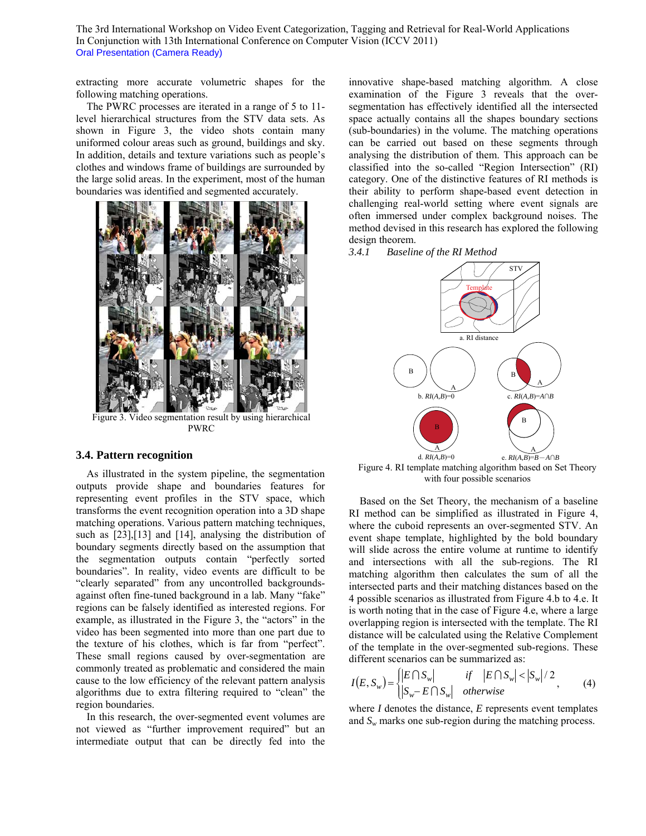extracting more accurate volumetric shapes for the following matching operations.

The PWRC processes are iterated in a range of 5 to 11 level hierarchical structures from the STV data sets. As shown in Figure 3, the video shots contain many uniformed colour areas such as ground, buildings and sky. In addition, details and texture variations such as people's clothes and windows frame of buildings are surrounded by the large solid areas. In the experiment, most of the human boundaries was identified and segmented accurately.



Figure 3. Video segmentation result by using hierarchical PWRC

## **3.4. Pattern recognition**

As illustrated in the system pipeline, the segmentation outputs provide shape and boundaries features for representing event profiles in the STV space, which transforms the event recognition operation into a 3D shape matching operations. Various pattern matching techniques, such as [23],[13] and [14], analysing the distribution of boundary segments directly based on the assumption that the segmentation outputs contain "perfectly sorted boundaries". In reality, video events are difficult to be "clearly separated" from any uncontrolled backgroundsagainst often fine-tuned background in a lab. Many "fake" regions can be falsely identified as interested regions. For example, as illustrated in the Figure 3, the "actors" in the video has been segmented into more than one part due to the texture of his clothes, which is far from "perfect". These small regions caused by over-segmentation are commonly treated as problematic and considered the main cause to the low efficiency of the relevant pattern analysis algorithms due to extra filtering required to "clean" the region boundaries.

In this research, the over-segmented event volumes are not viewed as "further improvement required" but an intermediate output that can be directly fed into the

innovative shape-based matching algorithm. A close examination of the Figure 3 reveals that the oversegmentation has effectively identified all the intersected space actually contains all the shapes boundary sections (sub-boundaries) in the volume. The matching operations can be carried out based on these segments through analysing the distribution of them. This approach can be classified into the so-called "Region Intersection" (RI) category. One of the distinctive features of RI methods is their ability to perform shape-based event detection in challenging real-world setting where event signals are often immersed under complex background noises. The method devised in this research has explored the following design theorem.





Figure 4. RI template matching algorithm based on Set Theory with four possible scenarios

Based on the Set Theory, the mechanism of a baseline RI method can be simplified as illustrated in Figure 4, where the cuboid represents an over-segmented STV. An event shape template, highlighted by the bold boundary will slide across the entire volume at runtime to identify and intersections with all the sub-regions. The RI matching algorithm then calculates the sum of all the intersected parts and their matching distances based on the 4 possible scenarios as illustrated from Figure 4.b to 4.e. It is worth noting that in the case of Figure 4.e, where a large overlapping region is intersected with the template. The RI distance will be calculated using the Relative Complement of the template in the over-segmented sub-regions. These different scenarios can be summarized as:

$$
I(E, S_w) = \begin{cases} |E \cap S_w| & \text{if } |E \cap S_w| < |S_w|/2 \\ |S_w - E \cap S_w| & \text{otherwise} \end{cases} \tag{4}
$$

where *I* denotes the distance, *E* represents event templates and *Sw* marks one sub-region during the matching process.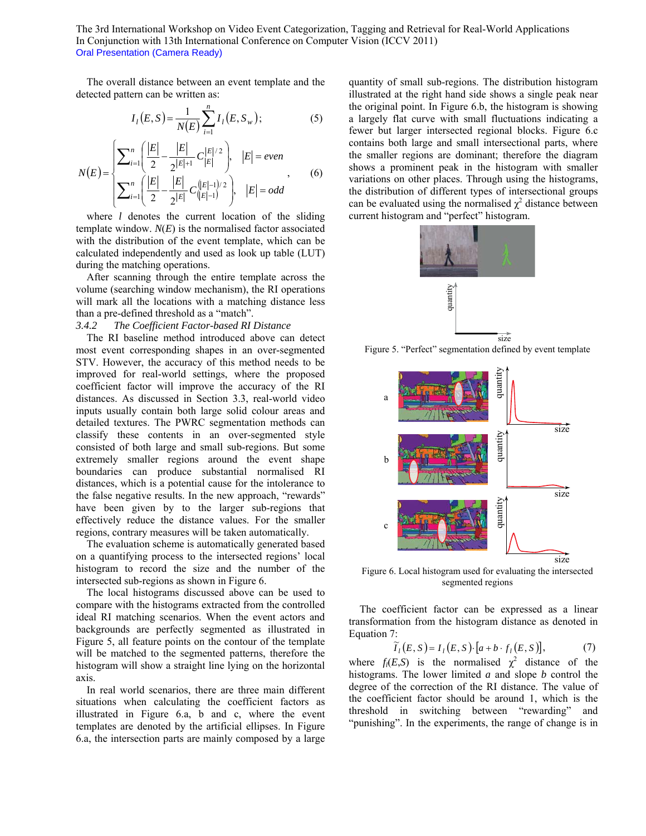The overall distance between an event template and the detected pattern can be written as:

$$
I_{l}(E, S) = \frac{1}{N(E)} \sum_{i=1}^{n} I_{l}(E, S_{w});
$$
 (5)

$$
N(E) = \begin{cases} \sum_{i=1}^{n} \left( \frac{|E|}{2} - \frac{|E|}{2^{|E|+1}} C_{|E|}^{|E|/2} \right), & |E| = even \\ \sum_{i=1}^{n} \left( \frac{|E|}{2} - \frac{|E|}{2^{|E|}} C_{(|E|-1)}^{|E|-1} \right), & |E| = odd \end{cases}
$$
(6)

where *l* denotes the current location of the sliding template window.  $N(E)$  is the normalised factor associated with the distribution of the event template, which can be calculated independently and used as look up table (LUT) during the matching operations.

After scanning through the entire template across the volume (searching window mechanism), the RI operations will mark all the locations with a matching distance less than a pre-defined threshold as a "match".

#### *3.4.2 The Coefficient Factor-based RI Distance*

The RI baseline method introduced above can detect most event corresponding shapes in an over-segmented STV. However, the accuracy of this method needs to be improved for real-world settings, where the proposed coefficient factor will improve the accuracy of the RI distances. As discussed in Section 3.3, real-world video inputs usually contain both large solid colour areas and detailed textures. The PWRC segmentation methods can classify these contents in an over-segmented style consisted of both large and small sub-regions. But some extremely smaller regions around the event shape boundaries can produce substantial normalised RI distances, which is a potential cause for the intolerance to the false negative results. In the new approach, "rewards" have been given by to the larger sub-regions that effectively reduce the distance values. For the smaller regions, contrary measures will be taken automatically.

The evaluation scheme is automatically generated based on a quantifying process to the intersected regions' local histogram to record the size and the number of the intersected sub-regions as shown in Figure 6.

The local histograms discussed above can be used to compare with the histograms extracted from the controlled ideal RI matching scenarios. When the event actors and backgrounds are perfectly segmented as illustrated in Figure 5, all feature points on the contour of the template will be matched to the segmented patterns, therefore the histogram will show a straight line lying on the horizontal axis.

In real world scenarios, there are three main different situations when calculating the coefficient factors as illustrated in Figure 6.a, b and c, where the event templates are denoted by the artificial ellipses. In Figure 6.a, the intersection parts are mainly composed by a large

quantity of small sub-regions. The distribution histogram illustrated at the right hand side shows a single peak near the original point. In Figure 6.b, the histogram is showing a largely flat curve with small fluctuations indicating a fewer but larger intersected regional blocks. Figure 6.c contains both large and small intersectional parts, where the smaller regions are dominant; therefore the diagram shows a prominent peak in the histogram with smaller variations on other places. Through using the histograms, the distribution of different types of intersectional groups can be evaluated using the normalised  $\chi^2$  distance between current histogram and "perfect" histogram.







Figure 6. Local histogram used for evaluating the intersected segmented regions

The coefficient factor can be expressed as a linear transformation from the histogram distance as denoted in Equation 7:

$$
\widetilde{I}_l(E, S) = I_l(E, S) \cdot [a + b \cdot f_l(E, S)],\tag{7}
$$

where  $f_i(E, S)$  is the normalised  $\chi^2$  distance of the histograms. The lower limited *a* and slope *b* control the degree of the correction of the RI distance. The value of the coefficient factor should be around 1, which is the threshold in switching between "rewarding" and "punishing". In the experiments, the range of change is in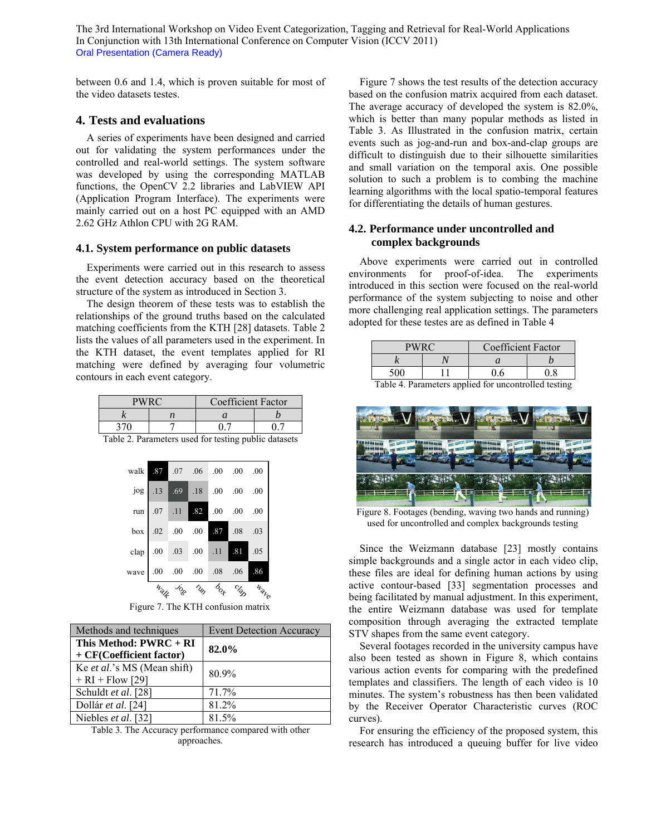between 0.6 and 1.4, which is proven suitable for most of the video datasets testes.

## **4. Tests and evaluations**

A series of experiments have been designed and carried out for validating the system performances under the controlled and real-world settings. The system software was developed by using the corresponding MATLAB functions, the OpenCV 2.2 libraries and LabVIEW API (Application Program Interface). The experiments were mainly carried out on a host PC equipped with an AMD 2.62 GHz Athlon CPU with 2G RAM.

#### **4.1. System performance on public datasets**

Experiments were carried out in this research to assess the event detection accuracy based on the theoretical structure of the system as introduced in Section 3.

The design theorem of these tests was to establish the relationships of the ground truths based on the calculated matching coefficients from the KTH [28] datasets. Table 2 lists the values of all parameters used in the experiment. In the KTH dataset, the event templates applied for RI matching were defined by averaging four volumetric contours in each event category.

|  |  | <b>Coefficient Factor</b> |  |  |
|--|--|---------------------------|--|--|
|  |  |                           |  |  |
|  |  |                           |  |  |

Table 2. Parameters used for testing public datasets

|                                    | Walk | Jogo Tun box clap  |                        | Walke |
|------------------------------------|------|--------------------|------------------------|-------|
| wave 0.0 0.0 0.0 0.0 0.0           |      |                    |                        | .86   |
| clap $.00$ $.03$ $.00$ $.11$ $.81$ |      |                    |                        | .05   |
|                                    |      | box 02 .00 .00 .87 | $.08$ .03              |       |
|                                    |      |                    | run 07 11 82 00 00 00  |       |
|                                    |      |                    | jog 13 69 18 00 00 00  |       |
| walk                               | .87  |                    | $0.07$ 0.0 0.0 0.0 0.0 |       |

Figure 7. The KTH confusion matrix

| Methods and techniques      | <b>Event Detection Accuracy</b> |  |
|-----------------------------|---------------------------------|--|
| This Method: $PWRC + RI$    | 82.0%                           |  |
| + CF(Coefficient factor)    |                                 |  |
| Ke et al.'s MS (Mean shift) | 80.9%                           |  |
| $+ RI + Flow [29]$          |                                 |  |
| Schuldt et al. [28]         | 71.7%                           |  |
| Dollár et al. [24]          | 81.2%                           |  |
| Niebles et al. [32]         | 81.5%                           |  |

Table 3. The Accuracy performance compared with other approaches.

Figure 7 shows the test results of the detection accuracy based on the confusion matrix acquired from each dataset. The average accuracy of developed the system is 82.0%, which is better than many popular methods as listed in Table 3. As Illustrated in the confusion matrix, certain events such as jog-and-run and box-and-clap groups are difficult to distinguish due to their silhouette similarities and small variation on the temporal axis. One possible solution to such a problem is to combing the machine learning algorithms with the local spatio-temporal features for differentiating the details of human gestures.

## **4.2. Performance under uncontrolled and complex backgrounds**

Above experiments were carried out in controlled environments for proof-of-idea. The experiments introduced in this section were focused on the real-world performance of the system subjecting to noise and other more challenging real application settings. The parameters adopted for these testes are as defined in Table 4

| <b>PWRC</b>             |  | Coefficient Factor |                                         |  |
|-------------------------|--|--------------------|-----------------------------------------|--|
|                         |  |                    |                                         |  |
|                         |  |                    |                                         |  |
| 77.11<br>$\overline{1}$ |  | $\cdots$           | $\mathbf{11}$ $\mathbf{1}$ $\mathbf{1}$ |  |

Table 4. Parameters applied for uncontrolled testing



Figure 8. Footages (bending, waving two hands and running) used for uncontrolled and complex backgrounds testing

Since the Weizmann database [23] mostly contains simple backgrounds and a single actor in each video clip, these files are ideal for defining human actions by using active contour-based [33] segmentation processes and being facilitated by manual adjustment. In this experiment, the entire Weizmann database was used for template composition through averaging the extracted template STV shapes from the same event category.

Several footages recorded in the university campus have also been tested as shown in Figure 8, which contains various action events for comparing with the predefined templates and classifiers. The length of each video is 10 minutes. The system's robustness has then been validated by the Receiver Operator Characteristic curves (ROC curves).

For ensuring the efficiency of the proposed system, this research has introduced a queuing buffer for live video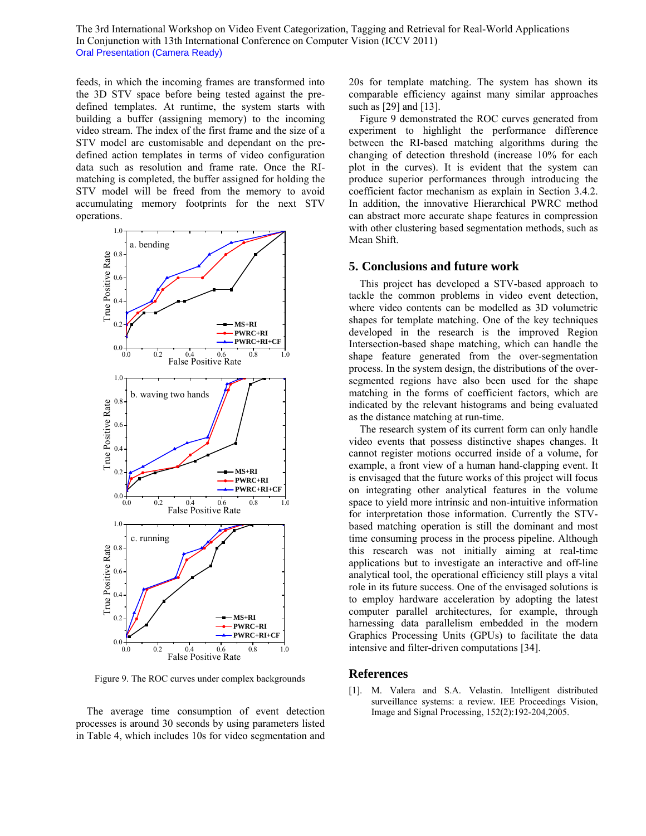feeds, in which the incoming frames are transformed into the 3D STV space before being tested against the predefined templates. At runtime, the system starts with building a buffer (assigning memory) to the incoming video stream. The index of the first frame and the size of a STV model are customisable and dependant on the predefined action templates in terms of video configuration data such as resolution and frame rate. Once the RImatching is completed, the buffer assigned for holding the STV model will be freed from the memory to avoid accumulating memory footprints for the next STV operations.



Figure 9. The ROC curves under complex backgrounds

The average time consumption of event detection processes is around 30 seconds by using parameters listed in Table 4, which includes 10s for video segmentation and 20s for template matching. The system has shown its comparable efficiency against many similar approaches such as [29] and [13].

Figure 9 demonstrated the ROC curves generated from experiment to highlight the performance difference between the RI-based matching algorithms during the changing of detection threshold (increase 10% for each plot in the curves). It is evident that the system can produce superior performances through introducing the coefficient factor mechanism as explain in Section 3.4.2. In addition, the innovative Hierarchical PWRC method can abstract more accurate shape features in compression with other clustering based segmentation methods, such as Mean Shift.

#### **5. Conclusions and future work**

This project has developed a STV-based approach to tackle the common problems in video event detection, where video contents can be modelled as 3D volumetric shapes for template matching. One of the key techniques developed in the research is the improved Region Intersection-based shape matching, which can handle the shape feature generated from the over-segmentation process. In the system design, the distributions of the oversegmented regions have also been used for the shape matching in the forms of coefficient factors, which are indicated by the relevant histograms and being evaluated as the distance matching at run-time.

The research system of its current form can only handle video events that possess distinctive shapes changes. It cannot register motions occurred inside of a volume, for example, a front view of a human hand-clapping event. It is envisaged that the future works of this project will focus on integrating other analytical features in the volume space to yield more intrinsic and non-intuitive information for interpretation those information. Currently the STVbased matching operation is still the dominant and most time consuming process in the process pipeline. Although this research was not initially aiming at real-time applications but to investigate an interactive and off-line analytical tool, the operational efficiency still plays a vital role in its future success. One of the envisaged solutions is to employ hardware acceleration by adopting the latest computer parallel architectures, for example, through harnessing data parallelism embedded in the modern Graphics Processing Units (GPUs) to facilitate the data intensive and filter-driven computations [34].

#### **References**

[1]. M. Valera and S.A. Velastin. Intelligent distributed surveillance systems: a review*.* IEE Proceedings Vision, Image and Signal Processing, 152(2):192-204,2005.